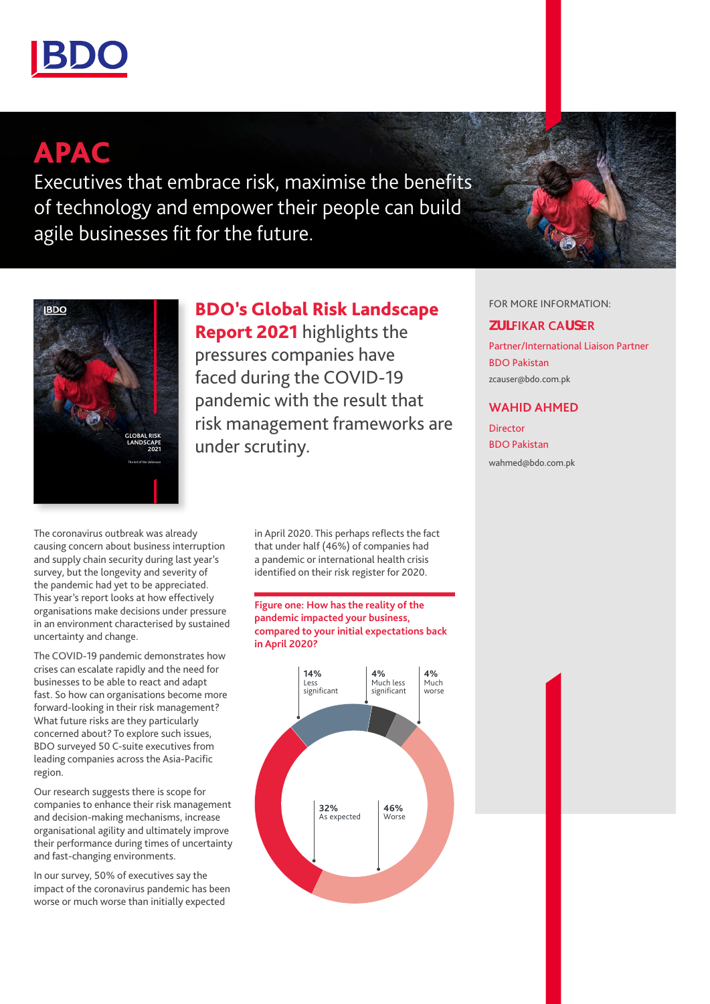

# APAC

Executives that embrace risk, maximise the benefits of technology and empower their people can build agile businesses fit for the future.



BDO's Global Risk Landscape

Report 2021 highlights the pressures companies have faced during the COVID-19 pandemic with the result that risk management frameworks are under scrutiny.

The coronavirus outbreak was already causing concern about business interruption and supply chain security during last year's survey, but the longevity and severity of the pandemic had yet to be appreciated. This year's report looks at how effectively organisations make decisions under pressure in an environment characterised by sustained uncertainty and change.

The COVID-19 pandemic demonstrates how crises can escalate rapidly and the need for businesses to be able to react and adapt fast. So how can organisations become more forward-looking in their risk management? What future risks are they particularly concerned about? To explore such issues, BDO surveyed 50 C-suite executives from leading companies across the Asia-Pacific region.

Our research suggests there is scope for companies to enhance their risk management and decision-making mechanisms, increase organisational agility and ultimately improve their performance during times of uncertainty and fast-changing environments.

In our survey, 50% of executives say the impact of the coronavirus pandemic has been worse or much worse than initially expected

in April 2020. This perhaps reflects the fact that under half (46%) of companies had a pandemic or international health crisis identified on their risk register for 2020.

#### **Figure one: How has the reality of the pandemic impacted your business, compared to your initial expectations back in April 2020?**



## FOR MORE INFORMATION:

## **ZULFIKAR CAUSER**

Partner/International Liaison Partner BDO Pakistan zcauser@bdo.com.pk

# **WAHID AHMED**

Director BDO Pakistan

wahmed@bdo.com.pk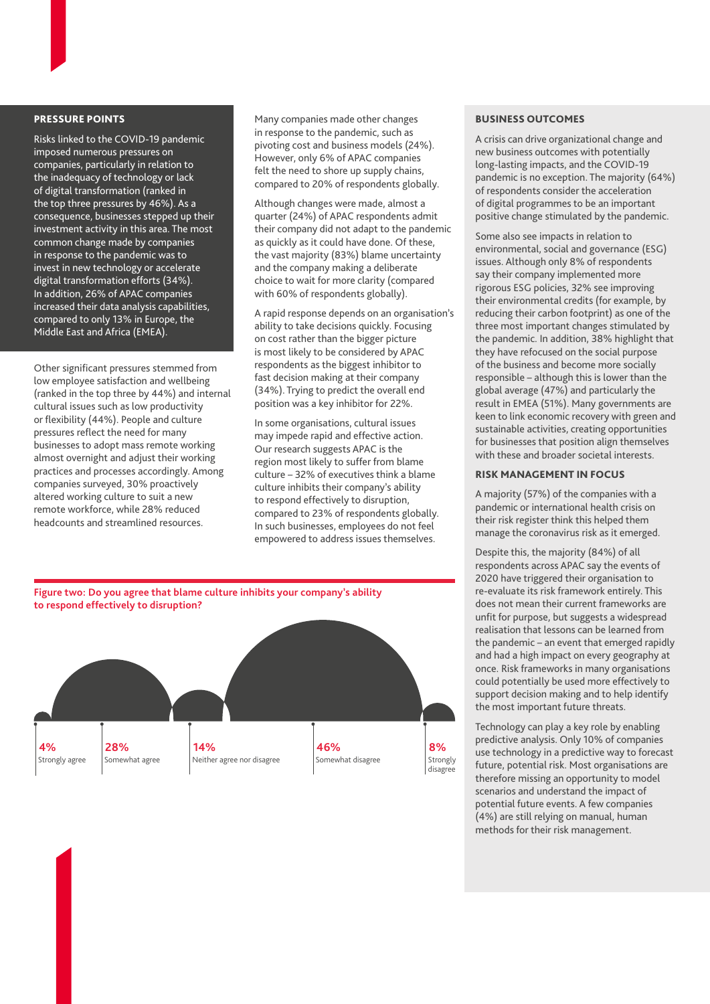## PRESSURE POINTS

Risks linked to the COVID-19 pandemic imposed numerous pressures on companies, particularly in relation to the inadequacy of technology or lack of digital transformation (ranked in the top three pressures by 46%). As a consequence, businesses stepped up their investment activity in this area. The most common change made by companies in response to the pandemic was to invest in new technology or accelerate digital transformation efforts (34%). In addition, 26% of APAC companies increased their data analysis capabilities, compared to only 13% in Europe, the Middle East and Africa (EMEA).

Other significant pressures stemmed from low employee satisfaction and wellbeing (ranked in the top three by 44%) and internal cultural issues such as low productivity or flexibility (44%). People and culture pressures reflect the need for many businesses to adopt mass remote working almost overnight and adjust their working practices and processes accordingly. Among companies surveyed, 30% proactively altered working culture to suit a new remote workforce, while 28% reduced headcounts and streamlined resources.

Many companies made other changes in response to the pandemic, such as pivoting cost and business models (24%). However, only 6% of APAC companies felt the need to shore up supply chains, compared to 20% of respondents globally.

Although changes were made, almost a quarter (24%) of APAC respondents admit their company did not adapt to the pandemic as quickly as it could have done. Of these, the vast majority (83%) blame uncertainty and the company making a deliberate choice to wait for more clarity (compared with 60% of respondents globally).

A rapid response depends on an organisation's ability to take decisions quickly. Focusing on cost rather than the bigger picture is most likely to be considered by APAC respondents as the biggest inhibitor to fast decision making at their company (34%). Trying to predict the overall end position was a key inhibitor for 22%.

In some organisations, cultural issues may impede rapid and effective action. Our research suggests APAC is the region most likely to suffer from blame culture – 32% of executives think a blame culture inhibits their company's ability to respond effectively to disruption, compared to 23% of respondents globally. In such businesses, employees do not feel empowered to address issues themselves.



#### BUSINESS OUTCOMES

A crisis can drive organizational change and new business outcomes with potentially long-lasting impacts, and the COVID-19 pandemic is no exception. The majority (64%) of respondents consider the acceleration of digital programmes to be an important positive change stimulated by the pandemic.

Some also see impacts in relation to environmental, social and governance (ESG) issues. Although only 8% of respondents say their company implemented more rigorous ESG policies, 32% see improving their environmental credits (for example, by reducing their carbon footprint) as one of the three most important changes stimulated by the pandemic. In addition, 38% highlight that they have refocused on the social purpose of the business and become more socially responsible – although this is lower than the global average (47%) and particularly the result in EMEA (51%). Many governments are keen to link economic recovery with green and sustainable activities, creating opportunities for businesses that position align themselves with these and broader societal interests.

#### RISK MANAGEMENT IN FOCUS

A majority (57%) of the companies with a pandemic or international health crisis on their risk register think this helped them manage the coronavirus risk as it emerged.

Despite this, the majority (84%) of all respondents across APAC say the events of 2020 have triggered their organisation to re-evaluate its risk framework entirely. This does not mean their current frameworks are unfit for purpose, but suggests a widespread realisation that lessons can be learned from the pandemic – an event that emerged rapidly and had a high impact on every geography at once. Risk frameworks in many organisations could potentially be used more effectively to support decision making and to help identify the most important future threats.

Technology can play a key role by enabling predictive analysis. Only 10% of companies use technology in a predictive way to forecast future, potential risk. Most organisations are therefore missing an opportunity to model scenarios and understand the impact of potential future events. A few companies (4%) are still relying on manual, human methods for their risk management.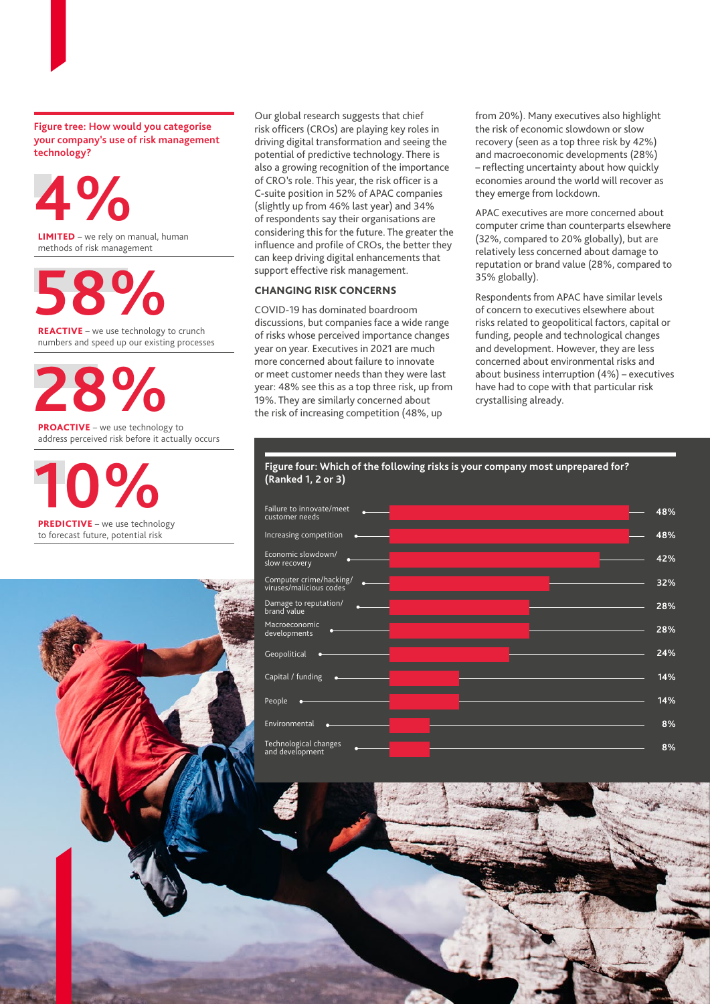**Figure tree: How would you categorise your company's use of risk management technology?**

LIMITED – we rely on manual, human methods of risk management REACTIVE – we use technology to crunch numbers and speed up our existing processes **4% 58%**

PROACTIVE – we use technology to address perceived risk before it actually occurs **28%**

**10%**

PREDICTIVE - we use technology to forecast future, potential risk



Our global research suggests that chief risk officers (CROs) are playing key roles in driving digital transformation and seeing the potential of predictive technology. There is also a growing recognition of the importance of CRO's role. This year, the risk officer is a C-suite position in 52% of APAC companies (slightly up from 46% last year) and 34% of respondents say their organisations are considering this for the future. The greater the influence and profile of CROs, the better they can keep driving digital enhancements that support effective risk management.

## CHANGING RISK CONCERNS

COVID-19 has dominated boardroom discussions, but companies face a wide range of risks whose perceived importance changes year on year. Executives in 2021 are much more concerned about failure to innovate or meet customer needs than they were last year: 48% see this as a top three risk, up from 19%. They are similarly concerned about the risk of increasing competition (48%, up

from 20%). Many executives also highlight the risk of economic slowdown or slow recovery (seen as a top three risk by 42%) and macroeconomic developments (28%) – reflecting uncertainty about how quickly economies around the world will recover as they emerge from lockdown.

APAC executives are more concerned about computer crime than counterparts elsewhere (32%, compared to 20% globally), but are relatively less concerned about damage to reputation or brand value (28%, compared to 35% globally).

Respondents from APAC have similar levels of concern to executives elsewhere about risks related to geopolitical factors, capital or funding, people and technological changes and development. However, they are less concerned about environmental risks and about business interruption (4%) – executives have had to cope with that particular risk crystallising already.



## **Figure four: Which of the following risks is your company most unprepared for? (Ranked 1, 2 or 3)**